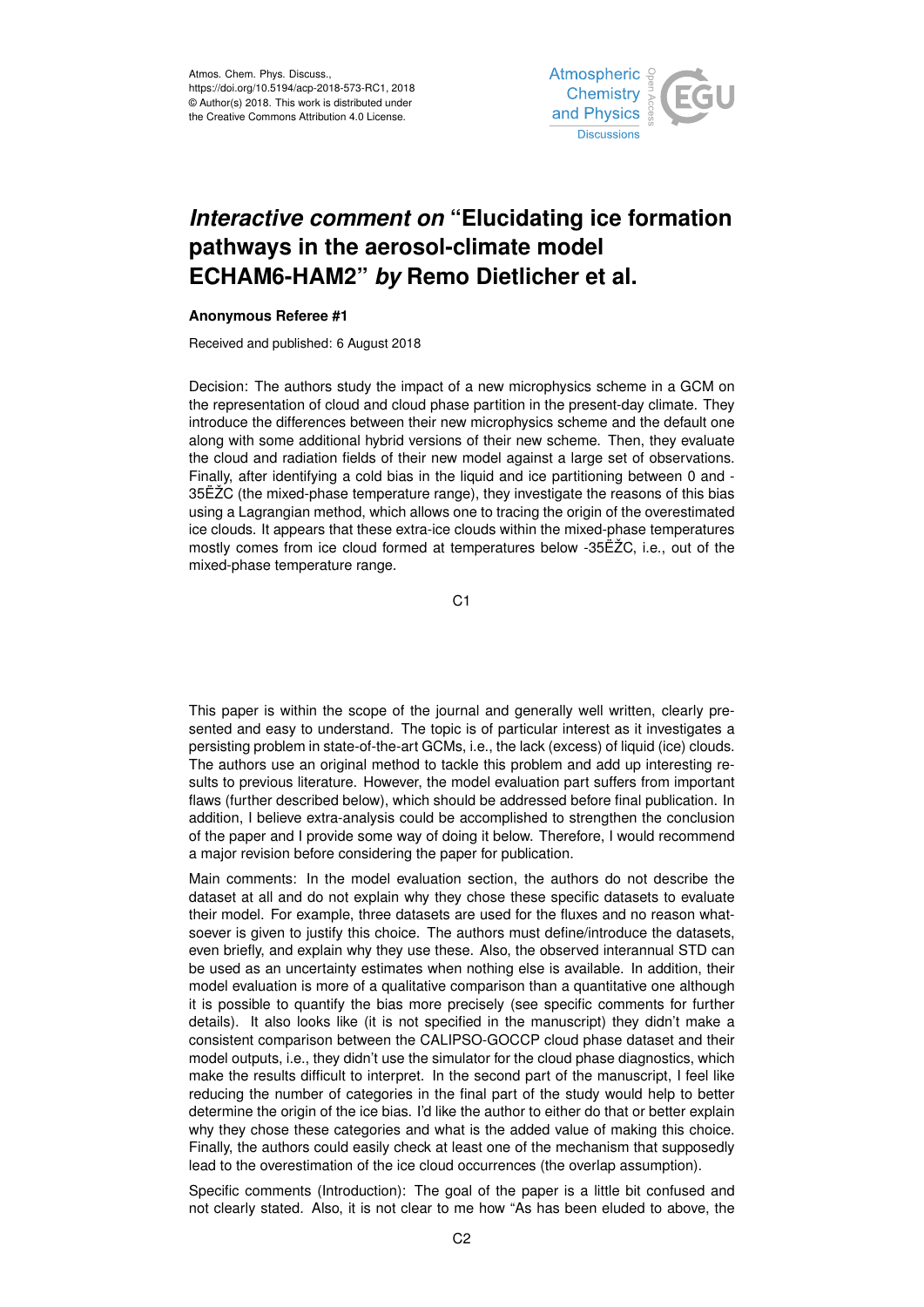

## *Interactive comment on* **"Elucidating ice formation pathways in the aerosol-climate model ECHAM6-HAM2"** *by* **Remo Dietlicher et al.**

## **Anonymous Referee #1**

Received and published: 6 August 2018

Decision: The authors study the impact of a new microphysics scheme in a GCM on the representation of cloud and cloud phase partition in the present-day climate. They introduce the differences between their new microphysics scheme and the default one along with some additional hybrid versions of their new scheme. Then, they evaluate the cloud and radiation fields of their new model against a large set of observations. Finally, after identifying a cold bias in the liquid and ice partitioning between 0 and - 35ËŽC (the mixed-phase temperature range), they investigate the reasons of this bias using a Lagrangian method, which allows one to tracing the origin of the overestimated ice clouds. It appears that these extra-ice clouds within the mixed-phase temperatures mostly comes from ice cloud formed at temperatures below -35ËŽC, i.e., out of the mixed-phase temperature range.

C1

This paper is within the scope of the journal and generally well written, clearly presented and easy to understand. The topic is of particular interest as it investigates a persisting problem in state-of-the-art GCMs, i.e., the lack (excess) of liquid (ice) clouds. The authors use an original method to tackle this problem and add up interesting results to previous literature. However, the model evaluation part suffers from important flaws (further described below), which should be addressed before final publication. In addition, I believe extra-analysis could be accomplished to strengthen the conclusion of the paper and I provide some way of doing it below. Therefore, I would recommend a major revision before considering the paper for publication.

Main comments: In the model evaluation section, the authors do not describe the dataset at all and do not explain why they chose these specific datasets to evaluate their model. For example, three datasets are used for the fluxes and no reason whatsoever is given to justify this choice. The authors must define/introduce the datasets, even briefly, and explain why they use these. Also, the observed interannual STD can be used as an uncertainty estimates when nothing else is available. In addition, their model evaluation is more of a qualitative comparison than a quantitative one although it is possible to quantify the bias more precisely (see specific comments for further details). It also looks like (it is not specified in the manuscript) they didn't make a consistent comparison between the CALIPSO-GOCCP cloud phase dataset and their model outputs, i.e., they didn't use the simulator for the cloud phase diagnostics, which make the results difficult to interpret. In the second part of the manuscript, I feel like reducing the number of categories in the final part of the study would help to better determine the origin of the ice bias. I'd like the author to either do that or better explain why they chose these categories and what is the added value of making this choice. Finally, the authors could easily check at least one of the mechanism that supposedly lead to the overestimation of the ice cloud occurrences (the overlap assumption).

Specific comments (Introduction): The goal of the paper is a little bit confused and not clearly stated. Also, it is not clear to me how "As has been eluded to above, the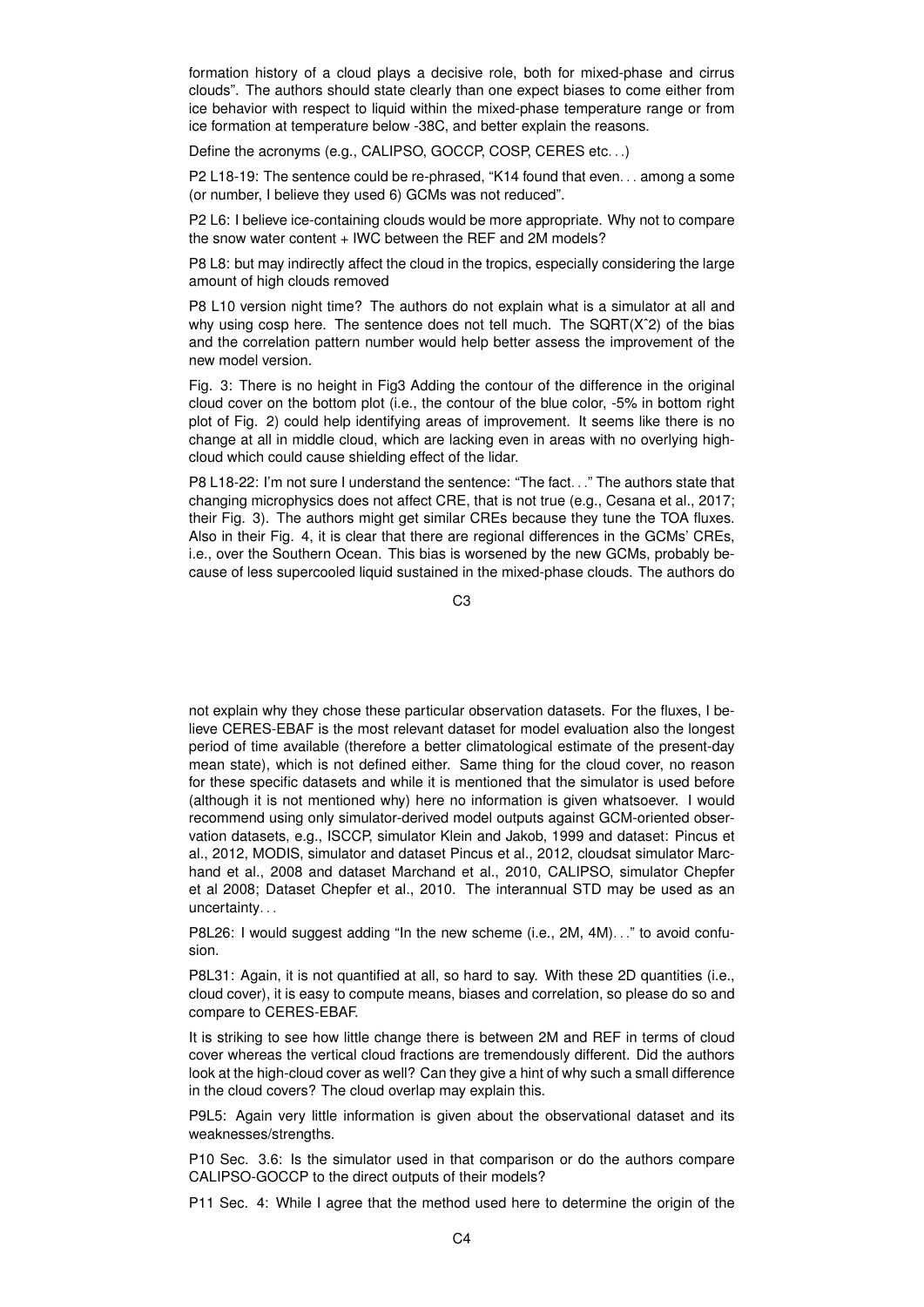formation history of a cloud plays a decisive role, both for mixed-phase and cirrus clouds". The authors should state clearly than one expect biases to come either from ice behavior with respect to liquid within the mixed-phase temperature range or from ice formation at temperature below -38C, and better explain the reasons.

Define the acronyms (e.g., CALIPSO, GOCCP, COSP, CERES etc. . .)

P2 L18-19: The sentence could be re-phrased, "K14 found that even... among a some (or number, I believe they used 6) GCMs was not reduced".

P2 L6: I believe ice-containing clouds would be more appropriate. Why not to compare the snow water content + IWC between the REF and 2M models?

P8 L8: but may indirectly affect the cloud in the tropics, especially considering the large amount of high clouds removed

P8 L10 version night time? The authors do not explain what is a simulator at all and why using cosp here. The sentence does not tell much. The SQRT(X<sup>o</sup>2) of the bias and the correlation pattern number would help better assess the improvement of the new model version.

Fig. 3: There is no height in Fig3 Adding the contour of the difference in the original cloud cover on the bottom plot (i.e., the contour of the blue color, -5% in bottom right plot of Fig. 2) could help identifying areas of improvement. It seems like there is no change at all in middle cloud, which are lacking even in areas with no overlying highcloud which could cause shielding effect of the lidar.

P8 L18-22: I'm not sure I understand the sentence: "The fact..." The authors state that changing microphysics does not affect CRE, that is not true (e.g., Cesana et al., 2017; their Fig. 3). The authors might get similar CREs because they tune the TOA fluxes. Also in their Fig. 4, it is clear that there are regional differences in the GCMs' CREs, i.e., over the Southern Ocean. This bias is worsened by the new GCMs, probably because of less supercooled liquid sustained in the mixed-phase clouds. The authors do

C3

not explain why they chose these particular observation datasets. For the fluxes, I believe CERES-EBAF is the most relevant dataset for model evaluation also the longest period of time available (therefore a better climatological estimate of the present-day mean state), which is not defined either. Same thing for the cloud cover, no reason for these specific datasets and while it is mentioned that the simulator is used before (although it is not mentioned why) here no information is given whatsoever. I would recommend using only simulator-derived model outputs against GCM-oriented observation datasets, e.g., ISCCP, simulator Klein and Jakob, 1999 and dataset: Pincus et al., 2012, MODIS, simulator and dataset Pincus et al., 2012, cloudsat simulator Marchand et al., 2008 and dataset Marchand et al., 2010, CALIPSO, simulator Chepfer et al 2008; Dataset Chepfer et al., 2010. The interannual STD may be used as an uncertainty. . .

P8L26: I would suggest adding "In the new scheme (i.e., 2M, 4M). . ." to avoid confusion.

P8L31: Again, it is not quantified at all, so hard to say. With these 2D quantities (i.e., cloud cover), it is easy to compute means, biases and correlation, so please do so and compare to CERES-EBAF.

It is striking to see how little change there is between 2M and REF in terms of cloud cover whereas the vertical cloud fractions are tremendously different. Did the authors look at the high-cloud cover as well? Can they give a hint of why such a small difference in the cloud covers? The cloud overlap may explain this.

P9L5: Again very little information is given about the observational dataset and its weaknesses/strengths.

P10 Sec. 3.6: Is the simulator used in that comparison or do the authors compare CALIPSO-GOCCP to the direct outputs of their models?

P11 Sec. 4: While I agree that the method used here to determine the origin of the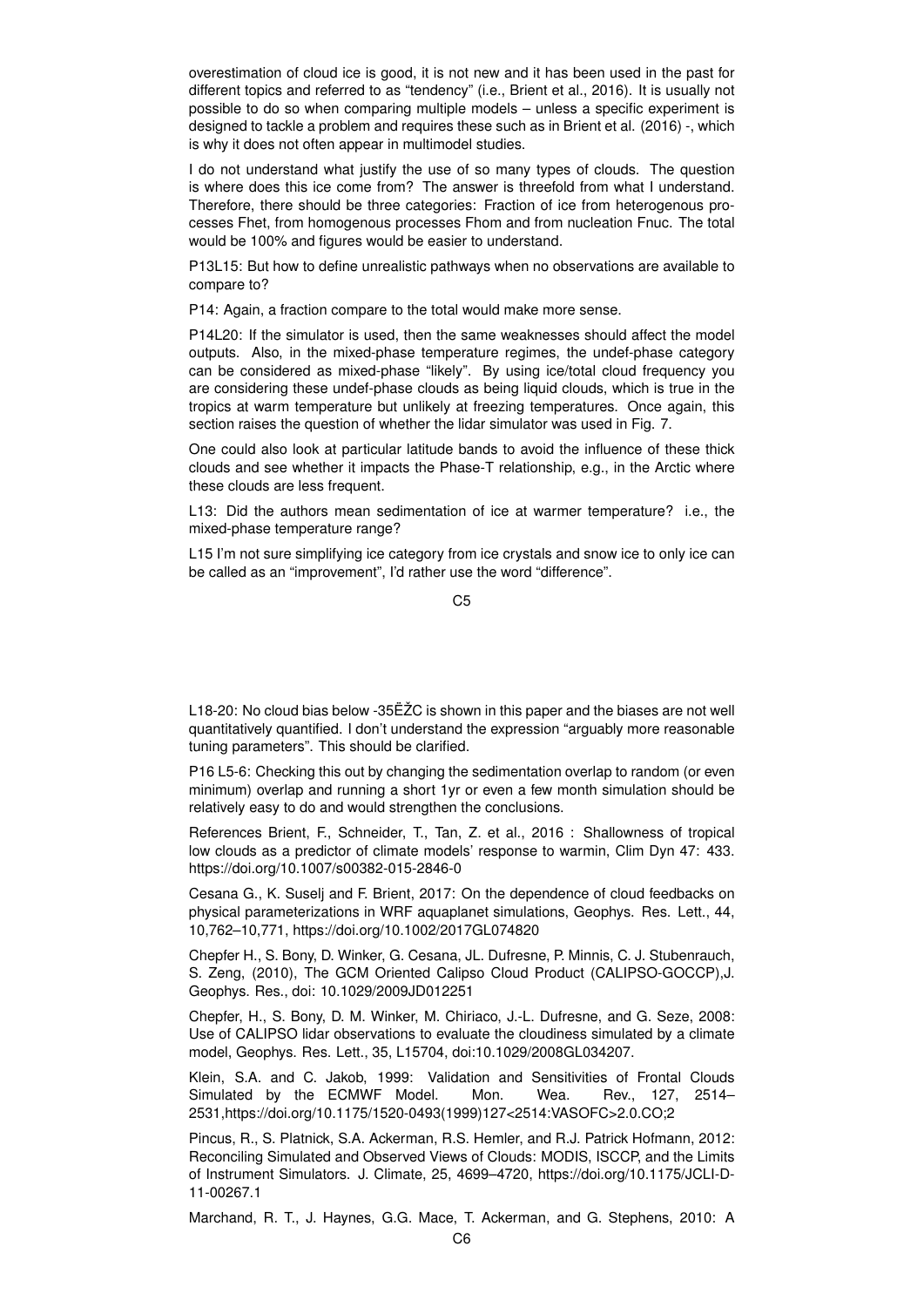overestimation of cloud ice is good, it is not new and it has been used in the past for different topics and referred to as "tendency" (i.e., Brient et al., 2016). It is usually not possible to do so when comparing multiple models – unless a specific experiment is designed to tackle a problem and requires these such as in Brient et al. (2016) -, which is why it does not often appear in multimodel studies.

I do not understand what justify the use of so many types of clouds. The question is where does this ice come from? The answer is threefold from what I understand. Therefore, there should be three categories: Fraction of ice from heterogenous processes Fhet, from homogenous processes Fhom and from nucleation Fnuc. The total would be 100% and figures would be easier to understand.

P13L15: But how to define unrealistic pathways when no observations are available to compare to?

P14: Again, a fraction compare to the total would make more sense.

P14L20: If the simulator is used, then the same weaknesses should affect the model outputs. Also, in the mixed-phase temperature regimes, the undef-phase category can be considered as mixed-phase "likely". By using ice/total cloud frequency you are considering these undef-phase clouds as being liquid clouds, which is true in the tropics at warm temperature but unlikely at freezing temperatures. Once again, this section raises the question of whether the lidar simulator was used in Fig. 7.

One could also look at particular latitude bands to avoid the influence of these thick clouds and see whether it impacts the Phase-T relationship, e.g., in the Arctic where these clouds are less frequent.

L13: Did the authors mean sedimentation of ice at warmer temperature? i.e., the mixed-phase temperature range?

L15 I'm not sure simplifying ice category from ice crystals and snow ice to only ice can be called as an "improvement", I'd rather use the word "difference".

L18-20: No cloud bias below -35ËŽC is shown in this paper and the biases are not well quantitatively quantified. I don't understand the expression "arguably more reasonable tuning parameters". This should be clarified.

P16 L5-6: Checking this out by changing the sedimentation overlap to random (or even minimum) overlap and running a short 1yr or even a few month simulation should be relatively easy to do and would strengthen the conclusions.

References Brient, F., Schneider, T., Tan, Z. et al., 2016 : Shallowness of tropical low clouds as a predictor of climate models' response to warmin, Clim Dyn 47: 433. https://doi.org/10.1007/s00382-015-2846-0

Cesana G., K. Suselj and F. Brient, 2017: On the dependence of cloud feedbacks on physical parameterizations in WRF aquaplanet simulations, Geophys. Res. Lett., 44, 10,762–10,771, https://doi.org/10.1002/2017GL074820

Chepfer H., S. Bony, D. Winker, G. Cesana, JL. Dufresne, P. Minnis, C. J. Stubenrauch, S. Zeng, (2010), The GCM Oriented Calipso Cloud Product (CALIPSO-GOCCP),J. Geophys. Res., doi: 10.1029/2009JD012251

Chepfer, H., S. Bony, D. M. Winker, M. Chiriaco, J.-L. Dufresne, and G. Seze, 2008: Use of CALIPSO lidar observations to evaluate the cloudiness simulated by a climate model, Geophys. Res. Lett., 35, L15704, doi:10.1029/2008GL034207.

Klein, S.A. and C. Jakob, 1999: Validation and Sensitivities of Frontal Clouds Simulated by the ECMWF Model. Mon. Wea. Rev., 127, 2514– 2531,https://doi.org/10.1175/1520-0493(1999)127<2514:VASOFC>2.0.CO;2

Pincus, R., S. Platnick, S.A. Ackerman, R.S. Hemler, and R.J. Patrick Hofmann, 2012: Reconciling Simulated and Observed Views of Clouds: MODIS, ISCCP, and the Limits of Instrument Simulators. J. Climate, 25, 4699–4720, https://doi.org/10.1175/JCLI-D-11-00267.1

Marchand, R. T., J. Haynes, G.G. Mace, T. Ackerman, and G. Stephens, 2010: A

 $C<sub>5</sub>$